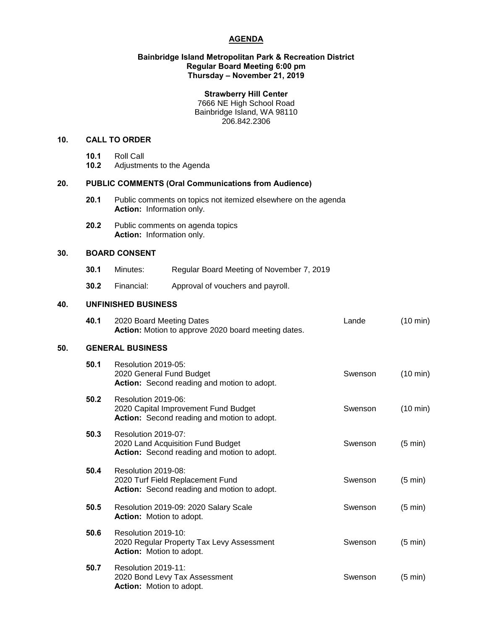# **AGENDA**

#### **Bainbridge Island Metropolitan Park & Recreation District Regular Board Meeting 6:00 pm Thursday – November 21, 2019**

## **Strawberry Hill Center**

7666 NE High School Road Bainbridge Island, WA 98110 206.842.2306

## **10. CALL TO ORDER**

- **10.1** Roll Call
- **10.2** Adjustments to the Agenda

# **20. PUBLIC COMMENTS (Oral Communications from Audience)**

- **20.1** Public comments on topics not itemized elsewhere on the agenda **Action:** Information only.
- **20.2** Public comments on agenda topics **Action:** Information only.

# **30. BOARD CONSENT**

- **30.1** Minutes: Regular Board Meeting of November 7, 2019
- **30.2** Financial: Approval of vouchers and payroll.

# **40. UNFINISHED BUSINESS**

|     | 40.1                    | 2020 Board Meeting Dates<br>Action: Motion to approve 2020 board meeting dates.                                   | Lande   | (10 min)           |  |  |
|-----|-------------------------|-------------------------------------------------------------------------------------------------------------------|---------|--------------------|--|--|
| 50. | <b>GENERAL BUSINESS</b> |                                                                                                                   |         |                    |  |  |
|     | 50.1                    | Resolution 2019-05:<br>2020 General Fund Budget<br>Action: Second reading and motion to adopt.                    | Swenson | $(10 \text{ min})$ |  |  |
|     | 50.2                    | Resolution 2019-06:<br>2020 Capital Improvement Fund Budget<br><b>Action:</b> Second reading and motion to adopt. | Swenson | $(10 \text{ min})$ |  |  |
|     | 50.3                    | Resolution 2019-07:<br>2020 Land Acquisition Fund Budget<br>Action: Second reading and motion to adopt.           | Swenson | $(5 \text{ min})$  |  |  |
|     | 50.4                    | Resolution 2019-08:<br>2020 Turf Field Replacement Fund<br>Action: Second reading and motion to adopt.            | Swenson | $(5 \text{ min})$  |  |  |
|     | 50.5                    | Resolution 2019-09: 2020 Salary Scale<br>Action: Motion to adopt.                                                 | Swenson | $(5 \text{ min})$  |  |  |
|     | 50.6                    | Resolution 2019-10:<br>2020 Regular Property Tax Levy Assessment<br><b>Action:</b> Motion to adopt.               | Swenson | $(5 \text{ min})$  |  |  |
|     | 50.7                    | Resolution 2019-11:<br>2020 Bond Levy Tax Assessment<br><b>Action:</b> Motion to adopt.                           | Swenson | $(5 \text{ min})$  |  |  |